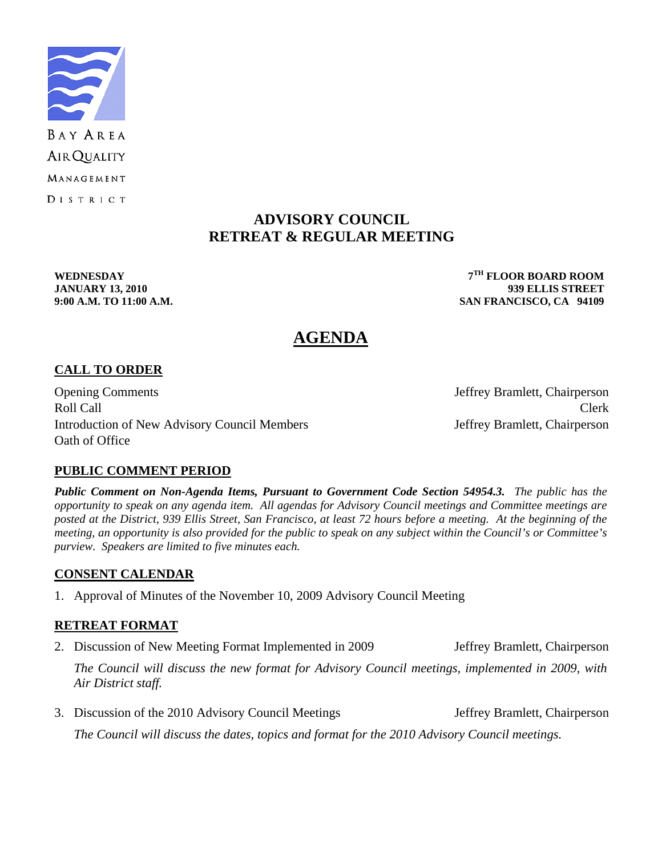

# **ADVISORY COUNCIL RETREAT & REGULAR MEETING**

**WEDNESDAY 7TH FLOOR BOARD ROOM JANUARY 13, 2010 939 ELLIS STREET 9:00 A.M. TO 11:00 A.M. SAN FRANCISCO, CA 94109** 

# **AGENDA**

# **CALL TO ORDER**

Opening Comments Jeffrey Bramlett, Chairperson Roll Call Call Contract Clerk Introduction of New Advisory Council Members Jeffrey Bramlett, Chairperson Oath of Office

# **PUBLIC COMMENT PERIOD**

*Public Comment on Non-Agenda Items, Pursuant to Government Code Section 54954.3. The public has the opportunity to speak on any agenda item. All agendas for Advisory Council meetings and Committee meetings are posted at the District, 939 Ellis Street, San Francisco, at least 72 hours before a meeting. At the beginning of the meeting, an opportunity is also provided for the public to speak on any subject within the Council's or Committee's purview. Speakers are limited to five minutes each.*

#### **CONSENT CALENDAR**

1. Approval of Minutes of the November 10, 2009 Advisory Council Meeting

# **RETREAT FORMAT**

2. Discussion of New Meeting Format Implemented in 2009 Jeffrey Bramlett, Chairperson

 *The Council will discuss the new format for Advisory Council meetings, implemented in 2009, with Air District staff.* 

3. Discussion of the 2010 Advisory Council Meetings Jeffrey Bramlett, Chairperson *The Council will discuss the dates, topics and format for the 2010 Advisory Council meetings.*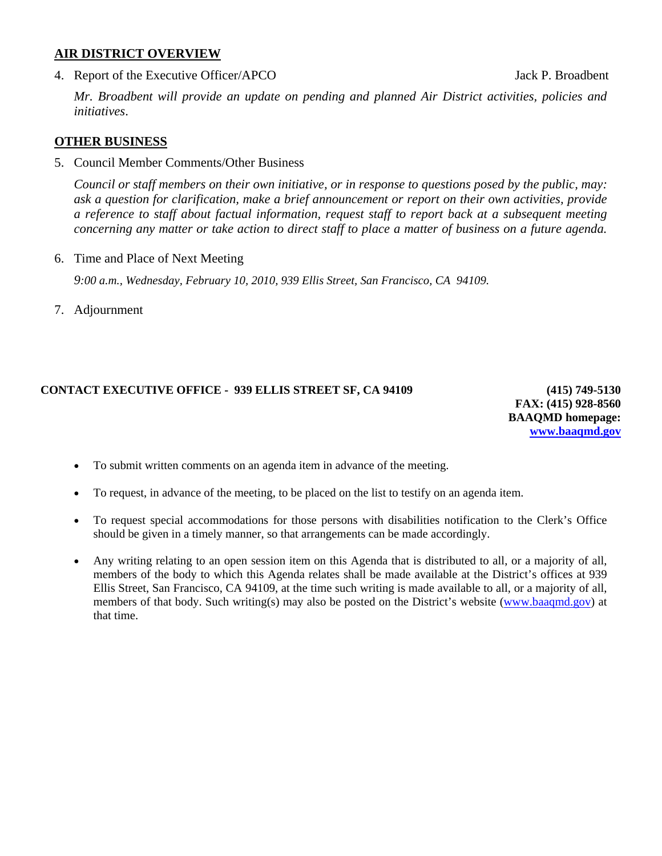#### **AIR DISTRICT OVERVIEW**

4. Report of the Executive Officer/APCO Jack P. Broadbent

 *Mr. Broadbent will provide an update on pending and planned Air District activities, policies and initiatives*.

#### **OTHER BUSINESS**

5. Council Member Comments/Other Business

*Council or staff members on their own initiative, or in response to questions posed by the public, may: ask a question for clarification, make a brief announcement or report on their own activities, provide a reference to staff about factual information, request staff to report back at a subsequent meeting concerning any matter or take action to direct staff to place a matter of business on a future agenda.* 

6. Time and Place of Next Meeting

 *9:00 a.m., Wednesday, February 10, 2010, 939 Ellis Street, San Francisco, CA 94109.* 

7. Adjournment

### **CONTACT EXECUTIVE OFFICE - 939 ELLIS STREET SF, CA 94109 (415) 749-5130**

**FAX: (415) 928-8560 BAAQMD homepage: [www.baaqmd.gov](http://www.baaqmd.gov/)**

- To submit written comments on an agenda item in advance of the meeting.
- To request, in advance of the meeting, to be placed on the list to testify on an agenda item.
- To request special accommodations for those persons with disabilities notification to the Clerk's Office should be given in a timely manner, so that arrangements can be made accordingly.
- Any writing relating to an open session item on this Agenda that is distributed to all, or a majority of all, members of the body to which this Agenda relates shall be made available at the District's offices at 939 Ellis Street, San Francisco, CA 94109, at the time such writing is made available to all, or a majority of all, members of that body. Such writing(s) may also be posted on the District's website [\(www.baaqmd.gov\)](http://www.baaqmd.gov/) at that time.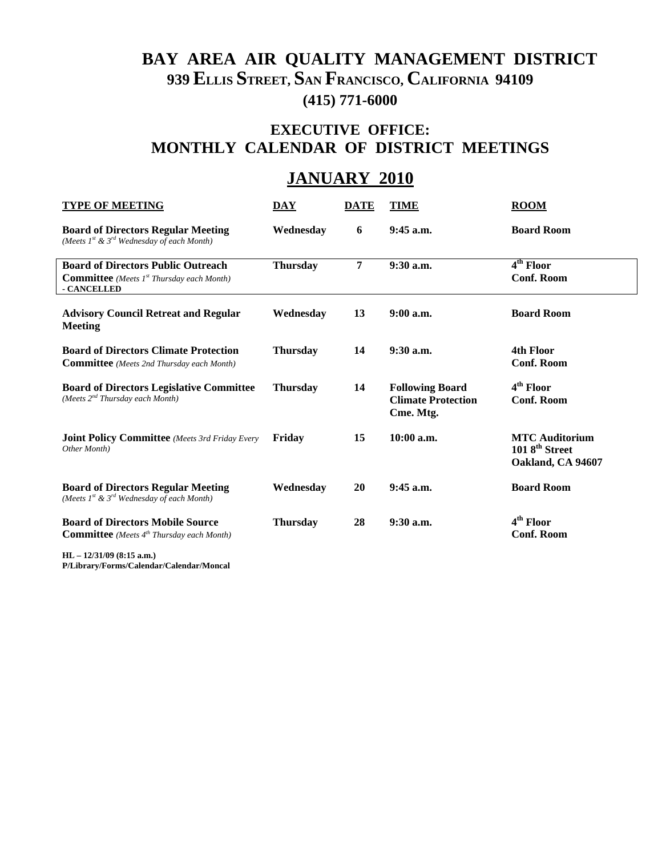# **BAY AREA AIR QUALITY MANAGEMENT DISTRICT 939 ELLIS STREET, SAN FRANCISCO, CALIFORNIA 94109 (415) 771-6000**

# **EXECUTIVE OFFICE: MONTHLY CALENDAR OF DISTRICT MEETINGS**

# **JANUARY 2010**

| <b>TYPE OF MEETING</b>                                                                                                   | <b>DAY</b>      | <b>DATE</b>    | <b>TIME</b>                                                      | <b>ROOM</b>                                                             |
|--------------------------------------------------------------------------------------------------------------------------|-----------------|----------------|------------------------------------------------------------------|-------------------------------------------------------------------------|
| <b>Board of Directors Regular Meeting</b><br>(Meets $I^{st}$ & $3^{rd}$ Wednesday of each Month)                         | Wednesday       | 6              | $9:45$ a.m.                                                      | <b>Board Room</b>                                                       |
| <b>Board of Directors Public Outreach</b><br><b>Committee</b> (Meets 1 <sup>st</sup> Thursday each Month)<br>- CANCELLED | <b>Thursday</b> | $\overline{7}$ | $9:30$ a.m.                                                      | 4 <sup>th</sup> Floor<br><b>Conf. Room</b>                              |
| <b>Advisory Council Retreat and Regular</b><br>Meeting                                                                   | Wednesday       | 13             | $9:00$ a.m.                                                      | <b>Board Room</b>                                                       |
| <b>Board of Directors Climate Protection</b><br><b>Committee</b> (Meets 2nd Thursday each Month)                         | <b>Thursday</b> | 14             | $9:30$ a.m.                                                      | 4th Floor<br><b>Conf. Room</b>                                          |
| <b>Board of Directors Legislative Committee</b><br>(Meets $2^{nd}$ Thursday each Month)                                  | <b>Thursday</b> | 14             | <b>Following Board</b><br><b>Climate Protection</b><br>Cme. Mtg. | 4 <sup>th</sup> Floor<br><b>Conf. Room</b>                              |
| <b>Joint Policy Committee</b> (Meets 3rd Friday Every<br>Other Month)                                                    | Friday          | 15             | $10:00$ a.m.                                                     | <b>MTC Auditorium</b><br>1018 <sup>th</sup> Street<br>Oakland, CA 94607 |
| <b>Board of Directors Regular Meeting</b><br>(Meets $1^{st}$ & $3^{rd}$ Wednesday of each Month)                         | Wednesday       | 20             | 9:45 a.m.                                                        | <b>Board Room</b>                                                       |
| <b>Board of Directors Mobile Source</b><br><b>Committee</b> (Meets 4 <sup>th</sup> Thursday each Month)                  | <b>Thursday</b> | 28             | $9:30$ a.m.                                                      | 4 <sup>th</sup> Floor<br><b>Conf. Room</b>                              |

**HL – 12/31/09 (8:15 a.m.)** 

**P/Library/Forms/Calendar/Calendar/Moncal**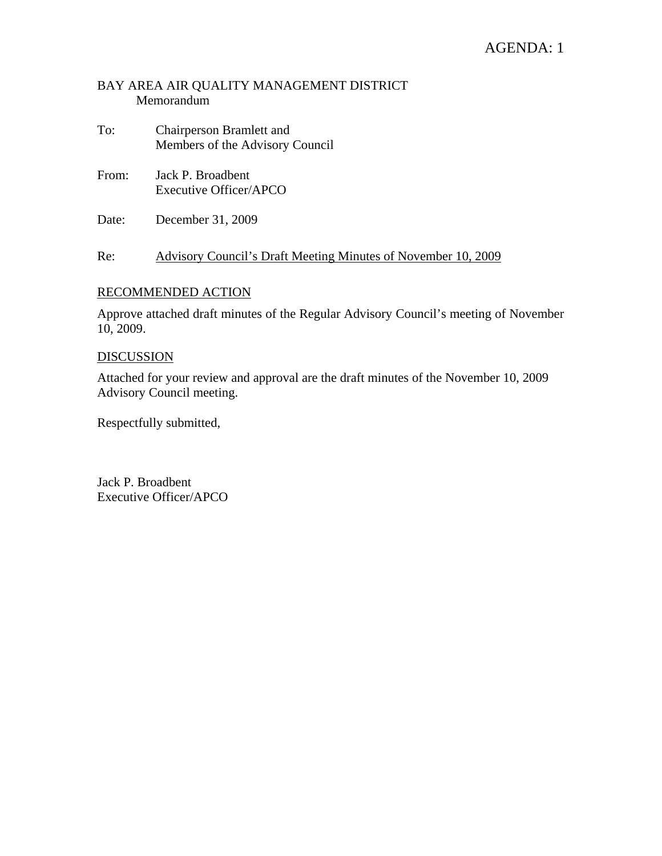# AGENDA: 1

### BAY AREA AIR QUALITY MANAGEMENT DISTRICT Memorandum

- To: Chairperson Bramlett and Members of the Advisory Council
- From: Jack P. Broadbent Executive Officer/APCO
- Date: December 31, 2009

Re: Advisory Council's Draft Meeting Minutes of November 10, 2009

#### RECOMMENDED ACTION

Approve attached draft minutes of the Regular Advisory Council's meeting of November 10, 2009.

#### DISCUSSION

Attached for your review and approval are the draft minutes of the November 10, 2009 Advisory Council meeting.

Respectfully submitted,

Jack P. Broadbent Executive Officer/APCO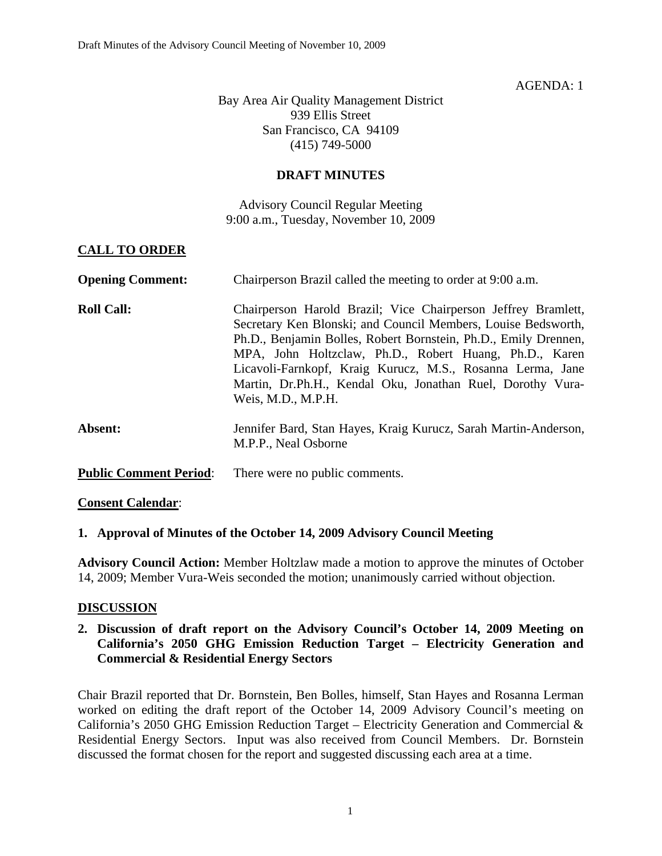### AGENDA: 1

Bay Area Air Quality Management District 939 Ellis Street San Francisco, CA 94109 (415) 749-5000

### **DRAFT MINUTES**

Advisory Council Regular Meeting 9:00 a.m., Tuesday, November 10, 2009

# **CALL TO ORDER**

| <b>Opening Comment:</b>       | Chairperson Brazil called the meeting to order at 9:00 a.m.                                                                                                                                                                                                                                                                                                                                                   |  |  |
|-------------------------------|---------------------------------------------------------------------------------------------------------------------------------------------------------------------------------------------------------------------------------------------------------------------------------------------------------------------------------------------------------------------------------------------------------------|--|--|
| <b>Roll Call:</b>             | Chairperson Harold Brazil; Vice Chairperson Jeffrey Bramlett,<br>Secretary Ken Blonski; and Council Members, Louise Bedsworth,<br>Ph.D., Benjamin Bolles, Robert Bornstein, Ph.D., Emily Drennen,<br>MPA, John Holtzclaw, Ph.D., Robert Huang, Ph.D., Karen<br>Licavoli-Farnkopf, Kraig Kurucz, M.S., Rosanna Lerma, Jane<br>Martin, Dr.Ph.H., Kendal Oku, Jonathan Ruel, Dorothy Vura-<br>Weis, M.D., M.P.H. |  |  |
| Absent:                       | Jennifer Bard, Stan Hayes, Kraig Kurucz, Sarah Martin-Anderson,<br>M.P.P., Neal Osborne                                                                                                                                                                                                                                                                                                                       |  |  |
| <b>Public Comment Period:</b> | There were no public comments.                                                                                                                                                                                                                                                                                                                                                                                |  |  |

#### **Consent Calendar**:

#### **1. Approval of Minutes of the October 14, 2009 Advisory Council Meeting**

**Advisory Council Action:** Member Holtzlaw made a motion to approve the minutes of October 14, 2009; Member Vura-Weis seconded the motion; unanimously carried without objection.

#### **DISCUSSION**

### **2. Discussion of draft report on the Advisory Council's October 14, 2009 Meeting on California's 2050 GHG Emission Reduction Target – Electricity Generation and Commercial & Residential Energy Sectors**

Chair Brazil reported that Dr. Bornstein, Ben Bolles, himself, Stan Hayes and Rosanna Lerman worked on editing the draft report of the October 14, 2009 Advisory Council's meeting on California's 2050 GHG Emission Reduction Target – Electricity Generation and Commercial & Residential Energy Sectors. Input was also received from Council Members. Dr. Bornstein discussed the format chosen for the report and suggested discussing each area at a time.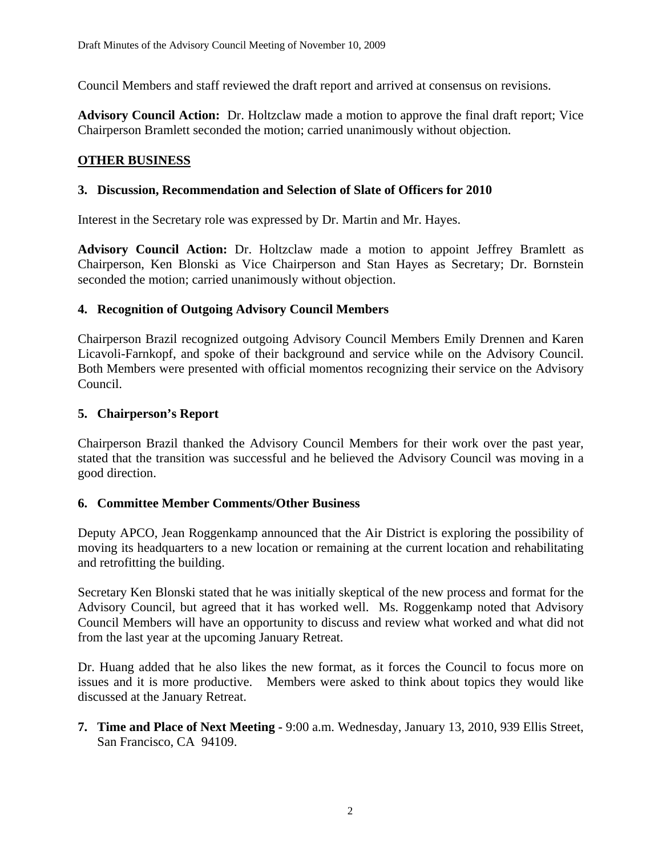Council Members and staff reviewed the draft report and arrived at consensus on revisions.

**Advisory Council Action:** Dr. Holtzclaw made a motion to approve the final draft report; Vice Chairperson Bramlett seconded the motion; carried unanimously without objection.

## **OTHER BUSINESS**

### **3. Discussion, Recommendation and Selection of Slate of Officers for 2010**

Interest in the Secretary role was expressed by Dr. Martin and Mr. Hayes.

**Advisory Council Action:** Dr. Holtzclaw made a motion to appoint Jeffrey Bramlett as Chairperson, Ken Blonski as Vice Chairperson and Stan Hayes as Secretary; Dr. Bornstein seconded the motion; carried unanimously without objection.

### **4. Recognition of Outgoing Advisory Council Members**

Chairperson Brazil recognized outgoing Advisory Council Members Emily Drennen and Karen Licavoli-Farnkopf, and spoke of their background and service while on the Advisory Council. Both Members were presented with official momentos recognizing their service on the Advisory Council.

### **5. Chairperson's Report**

Chairperson Brazil thanked the Advisory Council Members for their work over the past year, stated that the transition was successful and he believed the Advisory Council was moving in a good direction.

#### **6. Committee Member Comments/Other Business**

Deputy APCO, Jean Roggenkamp announced that the Air District is exploring the possibility of moving its headquarters to a new location or remaining at the current location and rehabilitating and retrofitting the building.

Secretary Ken Blonski stated that he was initially skeptical of the new process and format for the Advisory Council, but agreed that it has worked well. Ms. Roggenkamp noted that Advisory Council Members will have an opportunity to discuss and review what worked and what did not from the last year at the upcoming January Retreat.

Dr. Huang added that he also likes the new format, as it forces the Council to focus more on issues and it is more productive. Members were asked to think about topics they would like discussed at the January Retreat.

**7. Time and Place of Next Meeting -** 9:00 a.m. Wednesday, January 13, 2010, 939 Ellis Street, San Francisco, CA 94109.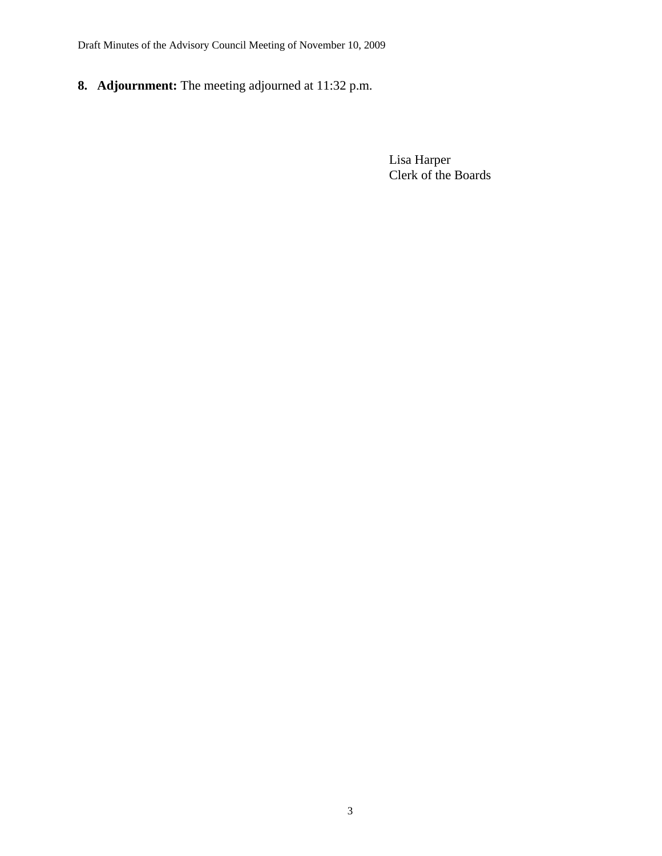Draft Minutes of the Advisory Council Meeting of November 10, 2009

**8. Adjournment:** The meeting adjourned at 11:32 p.m.

 Lisa Harper Clerk of the Boards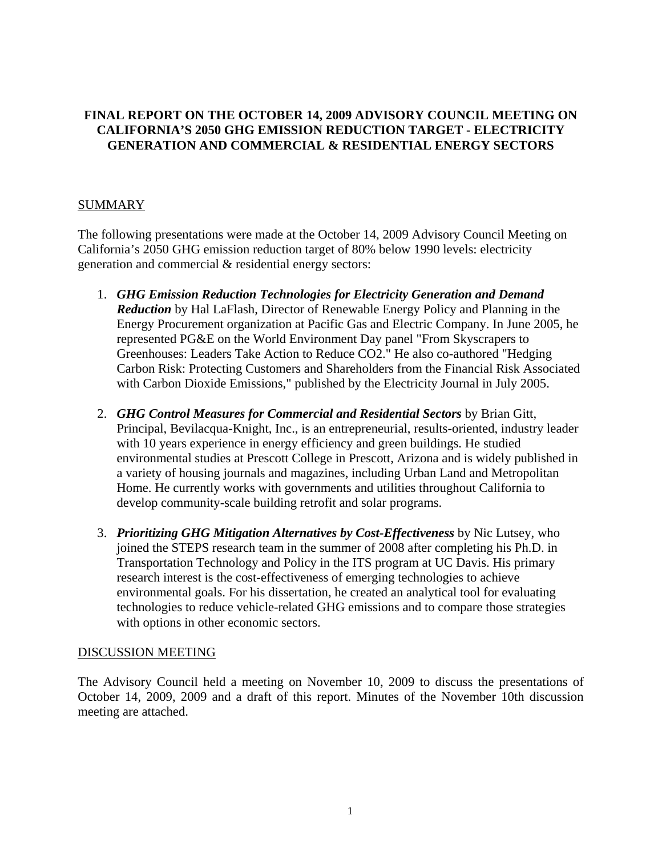# **FINAL REPORT ON THE OCTOBER 14, 2009 ADVISORY COUNCIL MEETING ON CALIFORNIA'S 2050 GHG EMISSION REDUCTION TARGET - ELECTRICITY GENERATION AND COMMERCIAL & RESIDENTIAL ENERGY SECTORS**

# SUMMARY

The following presentations were made at the October 14, 2009 Advisory Council Meeting on California's 2050 GHG emission reduction target of 80% below 1990 levels: electricity generation and commercial & residential energy sectors:

- 1. *GHG Emission Reduction Technologies for Electricity Generation and Demand Reduction* by Hal LaFlash, Director of Renewable Energy Policy and Planning in the Energy Procurement organization at Pacific Gas and Electric Company. In June 2005, he represented PG&E on the World Environment Day panel "From Skyscrapers to Greenhouses: Leaders Take Action to Reduce CO2." He also co-authored "Hedging Carbon Risk: Protecting Customers and Shareholders from the Financial Risk Associated with Carbon Dioxide Emissions," published by the Electricity Journal in July 2005.
- 2. *GHG Control Measures for Commercial and Residential Sectors* by Brian Gitt, Principal, Bevilacqua-Knight, Inc., is an entrepreneurial, results-oriented, industry leader with 10 years experience in energy efficiency and green buildings. He studied environmental studies at Prescott College in Prescott, Arizona and is widely published in a variety of housing journals and magazines, including Urban Land and Metropolitan Home. He currently works with governments and utilities throughout California to develop community-scale building retrofit and solar programs.
- 3. *Prioritizing GHG Mitigation Alternatives by Cost-Effectiveness* by Nic Lutsey, who joined the STEPS research team in the summer of 2008 after completing his Ph.D. in Transportation Technology and Policy in the ITS program at UC Davis. His primary research interest is the cost-effectiveness of emerging technologies to achieve environmental goals. For his dissertation, he created an analytical tool for evaluating technologies to reduce vehicle-related GHG emissions and to compare those strategies with options in other economic sectors.

# DISCUSSION MEETING

The Advisory Council held a meeting on November 10, 2009 to discuss the presentations of October 14, 2009, 2009 and a draft of this report. Minutes of the November 10th discussion meeting are attached.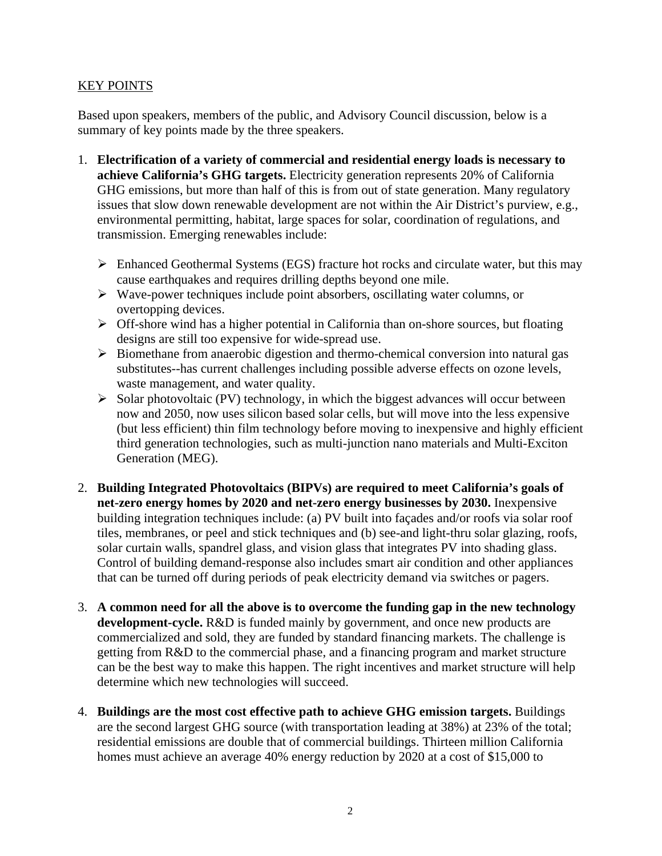## KEY POINTS

Based upon speakers, members of the public, and Advisory Council discussion, below is a summary of key points made by the three speakers.

- 1. **Electrification of a variety of commercial and residential energy loads is necessary to achieve California's GHG targets.** Electricity generation represents 20% of California GHG emissions, but more than half of this is from out of state generation. Many regulatory issues that slow down renewable development are not within the Air District's purview, e.g., environmental permitting, habitat, large spaces for solar, coordination of regulations, and transmission. Emerging renewables include:
	- $\triangleright$  Enhanced Geothermal Systems (EGS) fracture hot rocks and circulate water, but this may cause earthquakes and requires drilling depths beyond one mile.
	- ¾ Wave-power techniques include point absorbers, oscillating water columns, or overtopping devices.
	- ¾ Off-shore wind has a higher potential in California than on-shore sources, but floating designs are still too expensive for wide-spread use.
	- ¾ Biomethane from anaerobic digestion and thermo-chemical conversion into natural gas substitutes--has current challenges including possible adverse effects on ozone levels, waste management, and water quality.
	- $\triangleright$  Solar photovoltaic (PV) technology, in which the biggest advances will occur between now and 2050, now uses silicon based solar cells, but will move into the less expensive (but less efficient) thin film technology before moving to inexpensive and highly efficient third generation technologies, such as multi-junction nano materials and Multi-Exciton Generation (MEG).
- 2. **Building Integrated Photovoltaics (BIPVs) are required to meet California's goals of net-zero energy homes by 2020 and net-zero energy businesses by 2030.** Inexpensive building integration techniques include: (a) PV built into façades and/or roofs via solar roof tiles, membranes, or peel and stick techniques and (b) see-and light-thru solar glazing, roofs, solar curtain walls, spandrel glass, and vision glass that integrates PV into shading glass. Control of building demand-response also includes smart air condition and other appliances that can be turned off during periods of peak electricity demand via switches or pagers.
- 3. **A common need for all the above is to overcome the funding gap in the new technology development-cycle.** R&D is funded mainly by government, and once new products are commercialized and sold, they are funded by standard financing markets. The challenge is getting from R&D to the commercial phase, and a financing program and market structure can be the best way to make this happen. The right incentives and market structure will help determine which new technologies will succeed.
- 4. **Buildings are the most cost effective path to achieve GHG emission targets.** Buildings are the second largest GHG source (with transportation leading at 38%) at 23% of the total; residential emissions are double that of commercial buildings. Thirteen million California homes must achieve an average 40% energy reduction by 2020 at a cost of \$15,000 to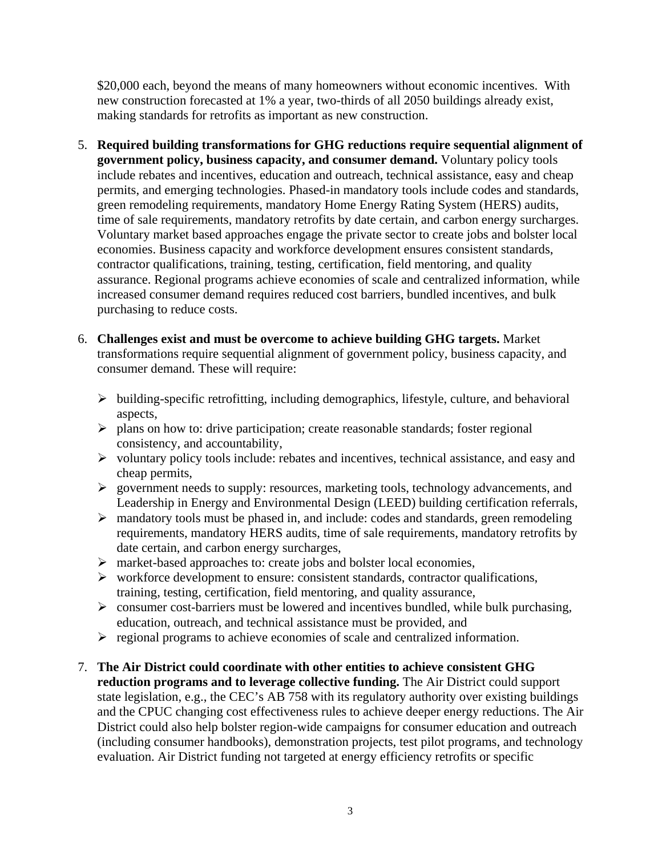\$20,000 each, beyond the means of many homeowners without economic incentives. With new construction forecasted at 1% a year, two-thirds of all 2050 buildings already exist, making standards for retrofits as important as new construction.

- 5. **Required building transformations for GHG reductions require sequential alignment of government policy, business capacity, and consumer demand.** Voluntary policy tools include rebates and incentives, education and outreach, technical assistance, easy and cheap permits, and emerging technologies. Phased-in mandatory tools include codes and standards, green remodeling requirements, mandatory Home Energy Rating System (HERS) audits, time of sale requirements, mandatory retrofits by date certain, and carbon energy surcharges. Voluntary market based approaches engage the private sector to create jobs and bolster local economies. Business capacity and workforce development ensures consistent standards, contractor qualifications, training, testing, certification, field mentoring, and quality assurance. Regional programs achieve economies of scale and centralized information, while increased consumer demand requires reduced cost barriers, bundled incentives, and bulk purchasing to reduce costs.
- 6. **Challenges exist and must be overcome to achieve building GHG targets.** Market transformations require sequential alignment of government policy, business capacity, and consumer demand. These will require:
	- $\triangleright$  building-specific retrofitting, including demographics, lifestyle, culture, and behavioral aspects,
	- $\triangleright$  plans on how to: drive participation; create reasonable standards; foster regional consistency, and accountability,
	- $\triangleright$  voluntary policy tools include: rebates and incentives, technical assistance, and easy and cheap permits,
	- ¾ government needs to supply: resources, marketing tools, technology advancements, and Leadership in Energy and Environmental Design (LEED) building certification referrals,
	- $\triangleright$  mandatory tools must be phased in, and include: codes and standards, green remodeling requirements, mandatory HERS audits, time of sale requirements, mandatory retrofits by date certain, and carbon energy surcharges,
	- ¾ market-based approaches to: create jobs and bolster local economies,
	- $\triangleright$  workforce development to ensure: consistent standards, contractor qualifications, training, testing, certification, field mentoring, and quality assurance,
	- $\triangleright$  consumer cost-barriers must be lowered and incentives bundled, while bulk purchasing, education, outreach, and technical assistance must be provided, and
	- $\triangleright$  regional programs to achieve economies of scale and centralized information.
- 7. **The Air District could coordinate with other entities to achieve consistent GHG reduction programs and to leverage collective funding.** The Air District could support state legislation, e.g., the CEC's AB 758 with its regulatory authority over existing buildings and the CPUC changing cost effectiveness rules to achieve deeper energy reductions. The Air District could also help bolster region-wide campaigns for consumer education and outreach (including consumer handbooks), demonstration projects, test pilot programs, and technology evaluation. Air District funding not targeted at energy efficiency retrofits or specific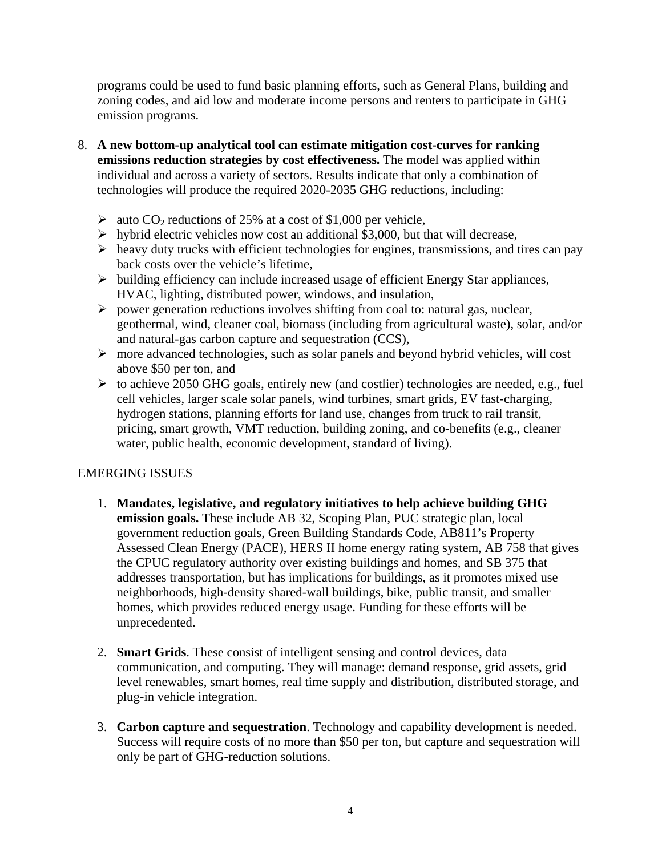programs could be used to fund basic planning efforts, such as General Plans, building and zoning codes, and aid low and moderate income persons and renters to participate in GHG emission programs.

- 8. **A new bottom-up analytical tool can estimate mitigation cost-curves for ranking emissions reduction strategies by cost effectiveness.** The model was applied within individual and across a variety of sectors. Results indicate that only a combination of technologies will produce the required 2020-2035 GHG reductions, including:
	- $\geq$  auto CO<sub>2</sub> reductions of 25% at a cost of \$1,000 per vehicle,
	- $\triangleright$  hybrid electric vehicles now cost an additional \$3,000, but that will decrease,
	- $\triangleright$  heavy duty trucks with efficient technologies for engines, transmissions, and tires can pay back costs over the vehicle's lifetime,
	- $\triangleright$  building efficiency can include increased usage of efficient Energy Star appliances, HVAC, lighting, distributed power, windows, and insulation,
	- $\triangleright$  power generation reductions involves shifting from coal to: natural gas, nuclear, geothermal, wind, cleaner coal, biomass (including from agricultural waste), solar, and/or and natural-gas carbon capture and sequestration (CCS),
	- ¾ more advanced technologies, such as solar panels and beyond hybrid vehicles, will cost above \$50 per ton, and
	- $\triangleright$  to achieve 2050 GHG goals, entirely new (and costlier) technologies are needed, e.g., fuel cell vehicles, larger scale solar panels, wind turbines, smart grids, EV fast-charging, hydrogen stations, planning efforts for land use, changes from truck to rail transit, pricing, smart growth, VMT reduction, building zoning, and co-benefits (e.g., cleaner water, public health, economic development, standard of living).

# EMERGING ISSUES

- 1. **Mandates, legislative, and regulatory initiatives to help achieve building GHG emission goals.** These include AB 32, Scoping Plan, PUC strategic plan, local government reduction goals, Green Building Standards Code, AB811's Property Assessed Clean Energy (PACE), HERS II home energy rating system, AB 758 that gives the CPUC regulatory authority over existing buildings and homes, and SB 375 that addresses transportation, but has implications for buildings, as it promotes mixed use neighborhoods, high-density shared-wall buildings, bike, public transit, and smaller homes, which provides reduced energy usage. Funding for these efforts will be unprecedented.
- 2. **Smart Grids**. These consist of intelligent sensing and control devices, data communication, and computing. They will manage: demand response, grid assets, grid level renewables, smart homes, real time supply and distribution, distributed storage, and plug-in vehicle integration.
- 3. **Carbon capture and sequestration**. Technology and capability development is needed. Success will require costs of no more than \$50 per ton, but capture and sequestration will only be part of GHG-reduction solutions.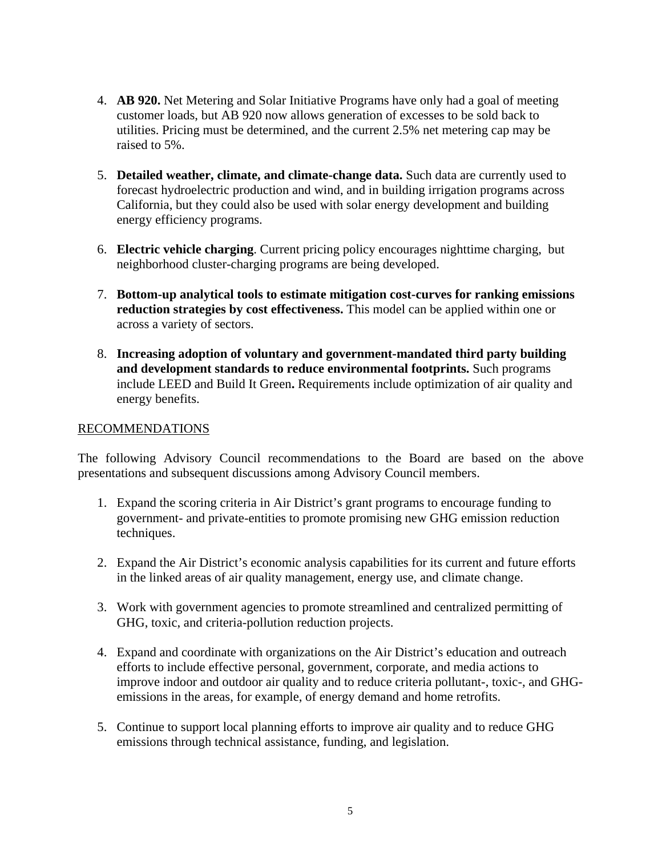- 4. **AB 920.** Net Metering and Solar Initiative Programs have only had a goal of meeting customer loads, but AB 920 now allows generation of excesses to be sold back to utilities. Pricing must be determined, and the current 2.5% net metering cap may be raised to 5%.
- 5. **Detailed weather, climate, and climate-change data.** Such data are currently used to forecast hydroelectric production and wind, and in building irrigation programs across California, but they could also be used with solar energy development and building energy efficiency programs.
- 6. **Electric vehicle charging**. Current pricing policy encourages nighttime charging, but neighborhood cluster-charging programs are being developed.
- 7. **Bottom-up analytical tools to estimate mitigation cost-curves for ranking emissions reduction strategies by cost effectiveness.** This model can be applied within one or across a variety of sectors.
- 8. **Increasing adoption of voluntary and government-mandated third party building and development standards to reduce environmental footprints.** Such programs include LEED and Build It Green**.** Requirements include optimization of air quality and energy benefits.

#### RECOMMENDATIONS

The following Advisory Council recommendations to the Board are based on the above presentations and subsequent discussions among Advisory Council members.

- 1. Expand the scoring criteria in Air District's grant programs to encourage funding to government- and private-entities to promote promising new GHG emission reduction techniques.
- 2. Expand the Air District's economic analysis capabilities for its current and future efforts in the linked areas of air quality management, energy use, and climate change.
- 3. Work with government agencies to promote streamlined and centralized permitting of GHG, toxic, and criteria-pollution reduction projects.
- 4. Expand and coordinate with organizations on the Air District's education and outreach efforts to include effective personal, government, corporate, and media actions to improve indoor and outdoor air quality and to reduce criteria pollutant-, toxic-, and GHGemissions in the areas, for example, of energy demand and home retrofits.
- 5. Continue to support local planning efforts to improve air quality and to reduce GHG emissions through technical assistance, funding, and legislation.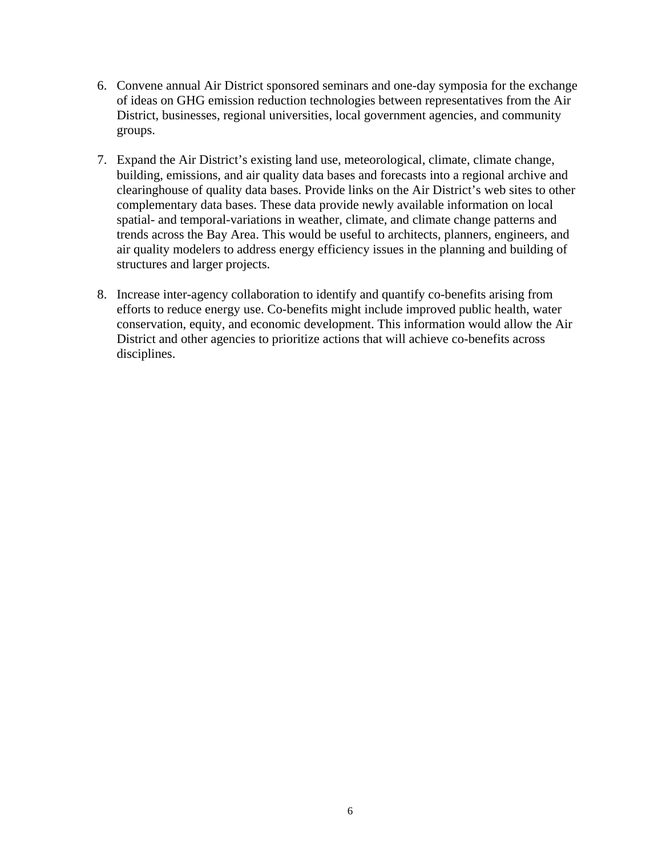- 6. Convene annual Air District sponsored seminars and one-day symposia for the exchange of ideas on GHG emission reduction technologies between representatives from the Air District, businesses, regional universities, local government agencies, and community groups.
- 7. Expand the Air District's existing land use, meteorological, climate, climate change, building, emissions, and air quality data bases and forecasts into a regional archive and clearinghouse of quality data bases. Provide links on the Air District's web sites to other complementary data bases. These data provide newly available information on local spatial- and temporal-variations in weather, climate, and climate change patterns and trends across the Bay Area. This would be useful to architects, planners, engineers, and air quality modelers to address energy efficiency issues in the planning and building of structures and larger projects.
- 8. Increase inter-agency collaboration to identify and quantify co-benefits arising from efforts to reduce energy use. Co-benefits might include improved public health, water conservation, equity, and economic development. This information would allow the Air District and other agencies to prioritize actions that will achieve co-benefits across disciplines.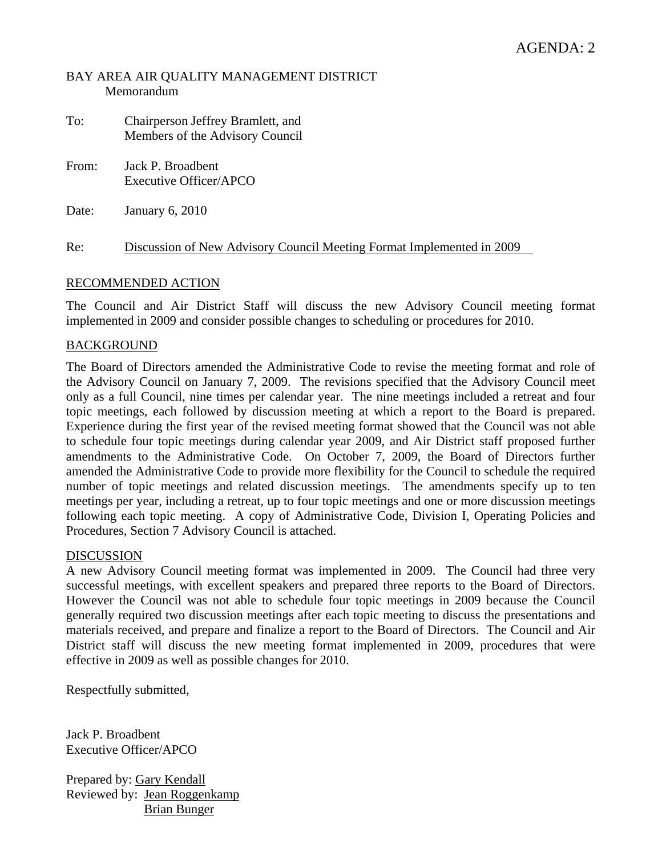#### BAY AREA AIR QUALITY MANAGEMENT DISTRICT Memorandum

- To: Chairperson Jeffrey Bramlett, and Members of the Advisory Council
- From: Jack P. Broadbent Executive Officer/APCO

Date: January 6, 2010

Re: Discussion of New Advisory Council Meeting Format Implemented in 2009

# RECOMMENDED ACTION

The Council and Air District Staff will discuss the new Advisory Council meeting format implemented in 2009 and consider possible changes to scheduling or procedures for 2010.

# BACKGROUND

The Board of Directors amended the Administrative Code to revise the meeting format and role of the Advisory Council on January 7, 2009. The revisions specified that the Advisory Council meet only as a full Council, nine times per calendar year. The nine meetings included a retreat and four topic meetings, each followed by discussion meeting at which a report to the Board is prepared. Experience during the first year of the revised meeting format showed that the Council was not able to schedule four topic meetings during calendar year 2009, and Air District staff proposed further amendments to the Administrative Code. On October 7, 2009, the Board of Directors further amended the Administrative Code to provide more flexibility for the Council to schedule the required number of topic meetings and related discussion meetings. The amendments specify up to ten meetings per year, including a retreat, up to four topic meetings and one or more discussion meetings following each topic meeting. A copy of Administrative Code, Division I, Operating Policies and Procedures, Section 7 Advisory Council is attached.

# DISCUSSION

A new Advisory Council meeting format was implemented in 2009. The Council had three very successful meetings, with excellent speakers and prepared three reports to the Board of Directors. However the Council was not able to schedule four topic meetings in 2009 because the Council generally required two discussion meetings after each topic meeting to discuss the presentations and materials received, and prepare and finalize a report to the Board of Directors. The Council and Air District staff will discuss the new meeting format implemented in 2009, procedures that were effective in 2009 as well as possible changes for 2010.

Respectfully submitted,

Jack P. Broadbent Executive Officer/APCO

Prepared by: Gary Kendall Reviewed by: Jean Roggenkamp Brian Bunger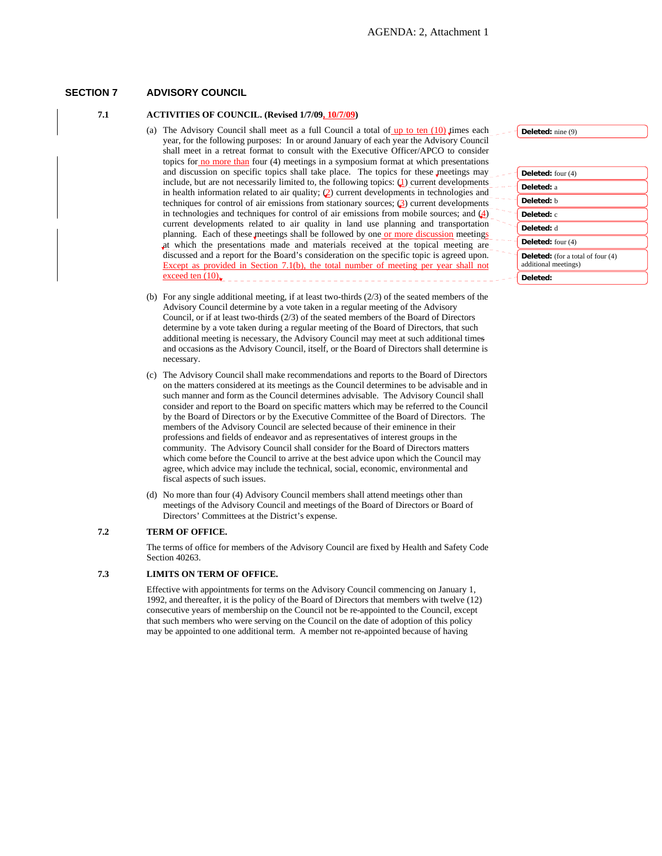#### **SECTION 7 ADVISORY COUNCIL**

#### **7.1 ACTIVITIES OF COUNCIL. (Revised 1/7/09, 10/7/09)**

- (a) The Advisory Council shall meet as a full Council a total of  $\frac{up to ten (10)}{um}$  times each year, for the following purposes: In or around January of each year the Advisory Council shall meet in a retreat format to consult with the Executive Officer/APCO to consider topics for no more than four (4) meetings in a symposium format at which presentations and discussion on specific topics shall take place. The topics for these meetings may include, but are not necessarily limited to, the following topics:  $\left( \underline{\mathbf{I}} \right)$  current developments in health information related to air quality; (2) current developments in technologies and techniques for control of air emissions from stationary sources; (3) current developments in technologies and techniques for control of air emissions from mobile sources; and  $(4)$ current developments related to air quality in land use planning and transportation planning. Each of these meetings shall be followed by one or more discussion meetings at which the presentations made and materials received at the topical meeting are discussed and a report for the Board's consideration on the specific topic is agreed upon. Except as provided in Section 7.1(b), the total number of meeting per year shall not exceed ten (10).
- (b) For any single additional meeting, if at least two-thirds (2/3) of the seated members of the Advisory Council determine by a vote taken in a regular meeting of the Advisory Council, or if at least two-thirds (2/3) of the seated members of the Board of Directors determine by a vote taken during a regular meeting of the Board of Directors, that such additional meeting is necessary, the Advisory Council may meet at such additional times and occasions as the Advisory Council, itself, or the Board of Directors shall determine is necessary.
- (c) The Advisory Council shall make recommendations and reports to the Board of Directors on the matters considered at its meetings as the Council determines to be advisable and in such manner and form as the Council determines advisable. The Advisory Council shall consider and report to the Board on specific matters which may be referred to the Council by the Board of Directors or by the Executive Committee of the Board of Directors. The members of the Advisory Council are selected because of their eminence in their professions and fields of endeavor and as representatives of interest groups in the community. The Advisory Council shall consider for the Board of Directors matters which come before the Council to arrive at the best advice upon which the Council may agree, which advice may include the technical, social, economic, environmental and fiscal aspects of such issues.
- (d) No more than four (4) Advisory Council members shall attend meetings other than meetings of the Advisory Council and meetings of the Board of Directors or Board of Directors' Committees at the District's expense.

#### **7.2 TERM OF OFFICE.**

The terms of office for members of the Advisory Council are fixed by Health and Safety Code Section 40263.

#### **7.3 LIMITS ON TERM OF OFFICE.**

Effective with appointments for terms on the Advisory Council commencing on January 1, 1992, and thereafter, it is the policy of the Board of Directors that members with twelve (12) consecutive years of membership on the Council not be re-appointed to the Council, except that such members who were serving on the Council on the date of adoption of this policy may be appointed to one additional term. A member not re-appointed because of having

**Deleted:** nine (9)

| Deleted: four $(4)$                                              |
|------------------------------------------------------------------|
| Deleted: a                                                       |
| Deleted: b                                                       |
| Deleted: c                                                       |
| Deleted: d                                                       |
| Deleted: four $(4)$                                              |
| <b>Deleted:</b> (for a total of four (4)<br>additional meetings) |
| Deleted:                                                         |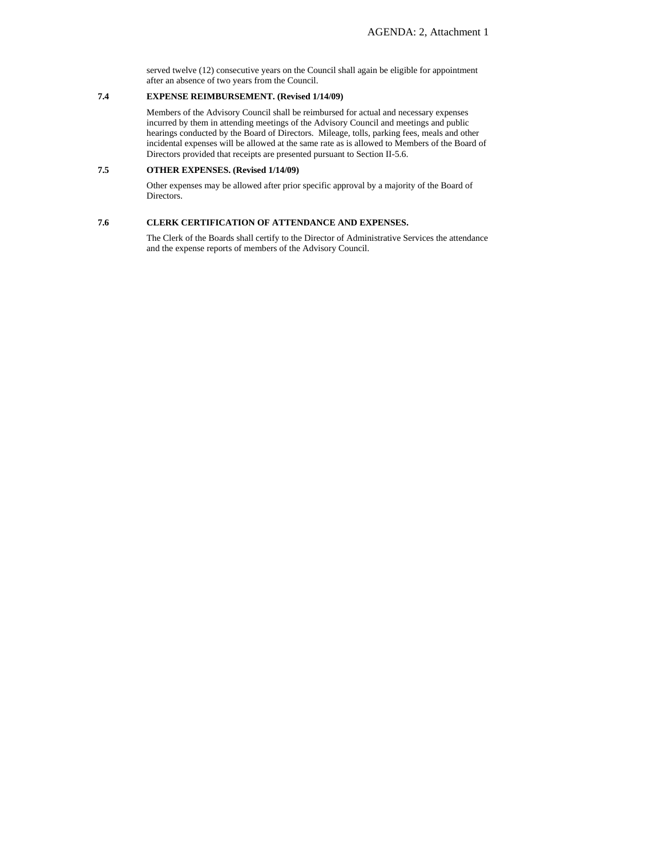served twelve (12) consecutive years on the Council shall again be eligible for appointment after an absence of two years from the Council.

#### **7.4 EXPENSE REIMBURSEMENT. (Revised 1/14/09)**

Members of the Advisory Council shall be reimbursed for actual and necessary expenses incurred by them in attending meetings of the Advisory Council and meetings and public hearings conducted by the Board of Directors. Mileage, tolls, parking fees, meals and other incidental expenses will be allowed at the same rate as is allowed to Members of the Board of Directors provided that receipts are presented pursuant to Section II-5.6.

#### **7.5 OTHER EXPENSES. (Revised 1/14/09)**

Other expenses may be allowed after prior specific approval by a majority of the Board of Directors.

#### **7.6 CLERK CERTIFICATION OF ATTENDANCE AND EXPENSES.**

The Clerk of the Boards shall certify to the Director of Administrative Services the attendance and the expense reports of members of the Advisory Council.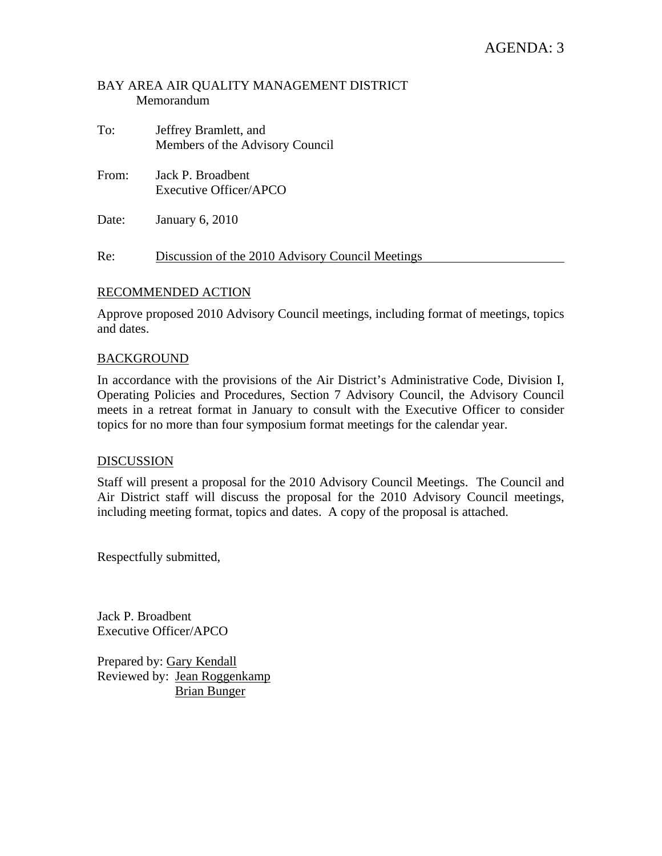### BAY AREA AIR QUALITY MANAGEMENT DISTRICT Memorandum

- To: Jeffrey Bramlett, and Members of the Advisory Council
- From: Jack P. Broadbent Executive Officer/APCO
- Date: January 6, 2010

Re: Discussion of the 2010 Advisory Council Meetings

#### RECOMMENDED ACTION

Approve proposed 2010 Advisory Council meetings, including format of meetings, topics and dates.

#### BACKGROUND

In accordance with the provisions of the Air District's Administrative Code, Division I, Operating Policies and Procedures, Section 7 Advisory Council, the Advisory Council meets in a retreat format in January to consult with the Executive Officer to consider topics for no more than four symposium format meetings for the calendar year.

#### **DISCUSSION**

Staff will present a proposal for the 2010 Advisory Council Meetings. The Council and Air District staff will discuss the proposal for the 2010 Advisory Council meetings, including meeting format, topics and dates. A copy of the proposal is attached.

Respectfully submitted,

Jack P. Broadbent Executive Officer/APCO

Prepared by: Gary Kendall Reviewed by: Jean Roggenkamp Brian Bunger